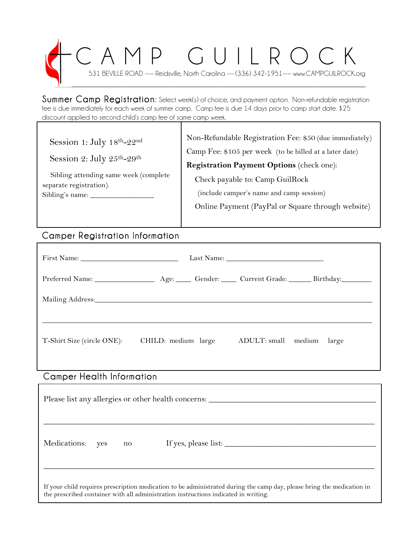# CAMP GUILROCK 531 BEVILLE ROAD ---- Reidsville, North Carolina --- (336) 342-1951---- www.CAMPGUILROCK.org  $\mathcal{P}$  , and the contribution of the contribution of the contribution of the contribution of the contribution of the contribution of the contribution of the contribution of the contribution of the contribution of the co

Summer Camp Registration: Select week(s) of choice, and payment option. Non-refundable registration fee is due immediately for each week of summer camp. Camp fee is due 14 days prior to camp start date. \$25 discount applied to second child's camp fee of same camp week.

| Session 1: July 18th-22nd<br>Session 2: July 25th-29th           | Non-Refundable Registration Fee: \$50 (due immediately)<br>Camp Fee: \$105 per week (to be billed at a later date) |
|------------------------------------------------------------------|--------------------------------------------------------------------------------------------------------------------|
|                                                                  | Registration Payment Options (check one):                                                                          |
| Sibling attending same week (complete<br>separate registration). | Check payable to: Camp GuilRock                                                                                    |
| Sibling's name: $\_\_$                                           | (include camper's name and camp session)                                                                           |
|                                                                  | Online Payment (PayPal or Square through website)                                                                  |

## Camper Registration Information

| T-Shirt Size (circle ONE): | CHILD: medium large |  | ADULT: small medium large |
|----------------------------|---------------------|--|---------------------------|

### Camper Health Information

| Please list any allergies or other health concerns:                                                                                                                                                           |     |    |                      |  |
|---------------------------------------------------------------------------------------------------------------------------------------------------------------------------------------------------------------|-----|----|----------------------|--|
| Medications:                                                                                                                                                                                                  | yes | no | If yes, please list: |  |
| If your child requires prescription medication to be administrated during the camp day, please bring the medication in<br>the prescribed container with all administration instructions indicated in writing. |     |    |                      |  |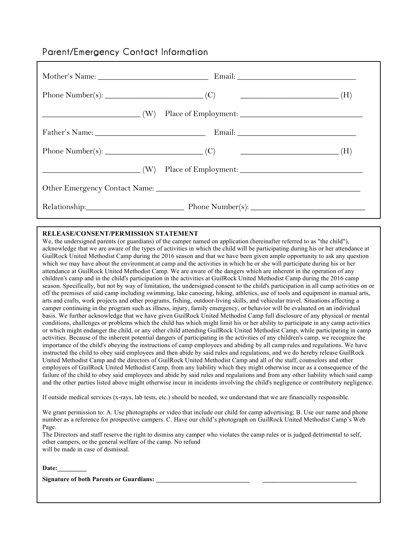### Parent/Emergency Contact Information

|  | Relationship: Phone Number(s): 2008. [2013] |  |  |  |
|--|---------------------------------------------|--|--|--|

#### **RELEASE/CONSENT/PERMISSION STATEMENT**

We, the undersigned parents (or guardians) of the camper named on application (hereinafter referred to as "the child"), acknowledge that we are aware of the types of activities in which the child will be participating during his or her attendance at GuilRock United Methodist Camp during the 2016 season and that we have been given ample opportunity to ask any question which we may have about the environment at camp and the activities in which he or she will participate during his or her attendance at GuilRock United Methodist Camp. We are aware of the dangers which are inherent in the operation of any children's camp and in the child's participation in the activities at GuilRock United Methodist Camp during the 2016 camp season. Specifically, but not by way of limitation, the undersigned consent to the child's participation in all camp activities on or off the premises of said camp including swimming, lake canoeing, hiking, athletics, use of tools and equipment in manual arts, arts and crafts, work projects and other programs, fishing, outdoor-living skills, and vehicular travel. Situations affecting a camper continuing in the program such as illness, injury, family emergency, or behavior will be evaluated on an individual basis. We further acknowledge that we have given GuilRock United Methodist Camp full disclosure of any physical or mental conditions, challenges or problems which the child has which might limit his or her ability to participate in any camp activities or which might endanger the child, or any other child attending GuilRock United Methodist Camp, while participating in camp activities. Because of the inherent potential dangers of participating in the activities of any children's camp, we recognize the importance of the child's obeying the instructions of camp employees and abiding by all camp rules and regulations. We have instructed the child to obey said employees and then abide by said rules and regulations, and we do hereby release GuilRock United Methodist Camp and the directors of GuilRock United Methodist Camp and all of the staff, counselors and other employees of GuilRock United Methodist Camp, from any liability which they might otherwise incur as a consequence of the failure of the child to obey said employees and abide by said rules and regulations and from any other liability which said camp and the other parties listed above might otherwise incur in incidents involving the child's negligence or contributory negligence.

If outside medical services (x-rays, lab tests, etc.) should be needed, we understand that we are financially responsible.

We grant permission to: A. Use photographs or video that include our child for camp advertising; B. Use our name and phone number as a reference for prospective campers. C. Have our child's photograph on GuilRock United Methodist Camp's Web Page.

The Directors and staff reserve the right to dismiss any camper who violates the camp rules or is judged detrimental to self, other campers, or the general welfare of the camp. No refund will be made in case of dismissal.

Date:

Signature of both Parents or Guardians: